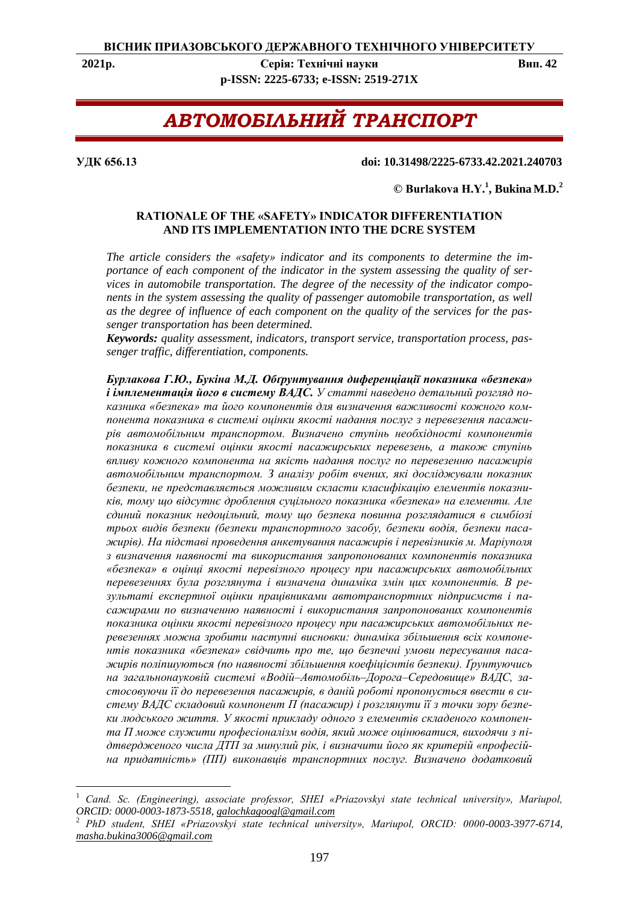**2021р. Серія: Технічні науки Вип. 42 p-ISSN: 2225-6733; e-ISSN: 2519-271X**

# *АВТОМОБІЛЬНИЙ ТРАНСПОРТ*

#### **УДК 656.13 doi: 10.31498/2225-6733.42.2021.240703**

## **© Burlakova Н.Y.<sup>1</sup> , Bukina M.D.<sup>2</sup>**

## **RATIONALE OF THE «SAFETY» INDICATOR DIFFERENTIATION AND ITS IMPLEMENTATION INTO THE DCRE SYSTEM**

*The article considers the «safety» indicator and its components to determine the importance of each component of the indicator in the system assessing the quality of services in automobile transportation. The degree of the necessity of the indicator components in the system assessing the quality of passenger automobile transportation, as well as the degree of influence of each component on the quality of the services for the passenger transportation has been determined.*

*Keywords: quality assessment, indicators, transport service, transportation process, passenger traffic, differentiation, components.*

*Бурлакова Г.Ю., Букіна М.Д. Обґрунтування диференціації показника «безпека» і імплементація його в систему ВАДС. У статті наведено детальний розгляд показника «безпека» та його компонентів для визначення важливості кожного компонента показника в системі оцінки якості надання послуг з перевезення пасажирів автомобільним транспортом. Визначено ступінь необхідності компонентів показника в системі оцінки якості пасажирських перевезень, а також ступінь впливу кожного компонента на якість надання послуг по перевезенню пасажирів автомобільним транспортом. З аналізу робіт вчених, які досліджували показник безпеки, не представляється можливим скласти класифікацію елементів показників, тому що відсутнє дроблення суцільного показника «безпека» на елементи. Але єдиний показник недоцільний, тому що безпека повинна розглядатися в симбіозі трьох видів безпеки (безпеки транспортного засобу, безпеки водія, безпеки пасажирів). На підставі проведення анкетування пасажирів і перевізників м. Маріуполя з визначення наявності та використання запропонованих компонентів показника «безпека» в оцінці якості перевізного процесу при пасажирських автомобільних перевезеннях була розглянута і визначена динаміка змін цих компонентів. В результаті експертної оцінки працівниками автотранспортних підприємств і пасажирами по визначенню наявності і використання запропонованих компонентів показника оцінки якості перевізного процесу при пасажирських автомобільних перевезеннях можна зробити наступні висновки: динаміка збільшення всіх компонентів показника «безпека» свідчить про те, що безпечні умови пересування пасажирів поліпшуються (по наявності збільшення коефіцієнтів безпеки). Ґрунтуючись на загальнонауковій системі «Водій–Автомобіль–Дорога–Середовище» ВАДС, застосовуючи її до перевезення пасажирів, в даній роботі пропонується ввести в систему ВАДС складовий компонент П (пасажир) і розглянути її з точки зору безпеки людського життя. У якості прикладу одного з елементів складеного компонента П може служити професіоналізм водія, який може оцінюватися, виходячи з підтвердженого числа ДТП за минулий рік, і визначити його як критерій «професійна придатність» (ПП) виконавців транспортних послуг. Визначено додатковий* 

<sup>1</sup> *Cand. Sc. (Engineering), associate professor, SHEI «Priazovskyi state technical university», Mariupol, ORCID: 0000-0003-1873-5518, galochkagoogl@gmail.com*

<sup>2</sup> *PhD student, SHEI «Priazovskyi state technical university», Mariupol, ORCID: 0000-0003-3977-6714, masha.bukina3006@gmail.com*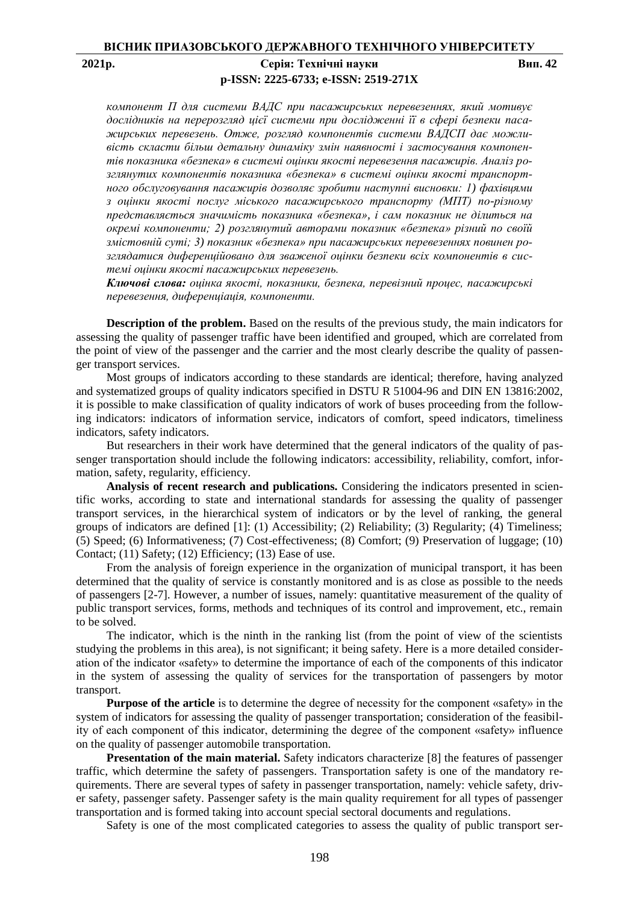# **2021р. Серія: Технічні науки Вип. 42 p-ISSN: 2225-6733; e-ISSN: 2519-271X**

*компонент П для системи ВАДС при пасажирських перевезеннях, який мотивує дослідників на перерозгляд цієї системи при дослідженні її в сфері безпеки пасажирських перевезень. Отже, розгляд компонентів системи ВАДСП дає можливість скласти більш детальну динаміку змін наявності і застосування компонентів показника «безпека» в системі оцінки якості перевезення пасажирів. Аналіз розглянутих компонентів показника «безпека» в системі оцінки якості транспортного обслуговування пасажирів дозволяє зробити наступні висновки: 1) фахівцями з оцінки якості послуг міського пасажирського транспорту (МПТ) по-різному представляється значимість показника «безпека», і сам показник не ділиться на окремі компоненти; 2) розглянутий авторами показник «безпека» різний по своїй змістовній суті; 3) показник «безпека» при пасажирських перевезеннях повинен розглядатися диференційовано для зваженої оцінки безпеки всіх компонентів в системі оцінки якості пасажирських перевезень.*

*Ключові слова: оцінка якості, показники, безпека, перевізний процес, пасажирські перевезення, диференціація, компоненти.*

**Description of the problem.** Based on the results of the previous study, the main indicators for assessing the quality of passenger traffic have been identified and grouped, which are correlated from the point of view of the passenger and the carrier and the most clearly describe the quality of passenger transport services.

Most groups of indicators according to these standards are identical; therefore, having analyzed and systematized groups of quality indicators specified in DSTU R 51004-96 and DIN EN 13816:2002, it is possible to make classification of quality indicators of work of buses proceeding from the following indicators: indicators of information service, indicators of comfort, speed indicators, timeliness indicators, safety indicators.

But researchers in their work have determined that the general indicators of the quality of passenger transportation should include the following indicators: accessibility, reliability, comfort, information, safety, regularity, efficiency.

**Analysis of recent research and publications.** Considering the indicators presented in scientific works, according to state and international standards for assessing the quality of passenger transport services, in the hierarchical system of indicators or by the level of ranking, the general groups of indicators are defined [1]: (1) Accessibility; (2) Reliability; (3) Regularity; (4) Timeliness; (5) Speed; (6) Informativeness; (7) Cost-effectiveness; (8) Comfort; (9) Preservation of luggage; (10) Contact; (11) Safety; (12) Efficiency; (13) Ease of use.

From the analysis of foreign experience in the organization of municipal transport, it has been determined that the quality of service is constantly monitored and is as close as possible to the needs of passengers [2-7]. However, a number of issues, namely: quantitative measurement of the quality of public transport services, forms, methods and techniques of its control and improvement, etc., remain to be solved.

The indicator, which is the ninth in the ranking list (from the point of view of the scientists studying the problems in this area), is not significant; it being safety. Here is a more detailed consideration of the indicator «safety» to determine the importance of each of the components of this indicator in the system of assessing the quality of services for the transportation of passengers by motor transport.

**Purpose of the article** is to determine the degree of necessity for the component «safety» in the system of indicators for assessing the quality of passenger transportation; consideration of the feasibility of each component of this indicator, determining the degree of the component «safety» influence on the quality of passenger automobile transportation.

**Presentation of the main material.** Safety indicators characterize [8] the features of passenger traffic, which determine the safety of passengers. Transportation safety is one of the mandatory requirements. There are several types of safety in passenger transportation, namely: vehicle safety, driver safety, passenger safety. Passenger safety is the main quality requirement for all types of passenger transportation and is formed taking into account special sectoral documents and regulations.

Safety is one of the most complicated categories to assess the quality of public transport ser-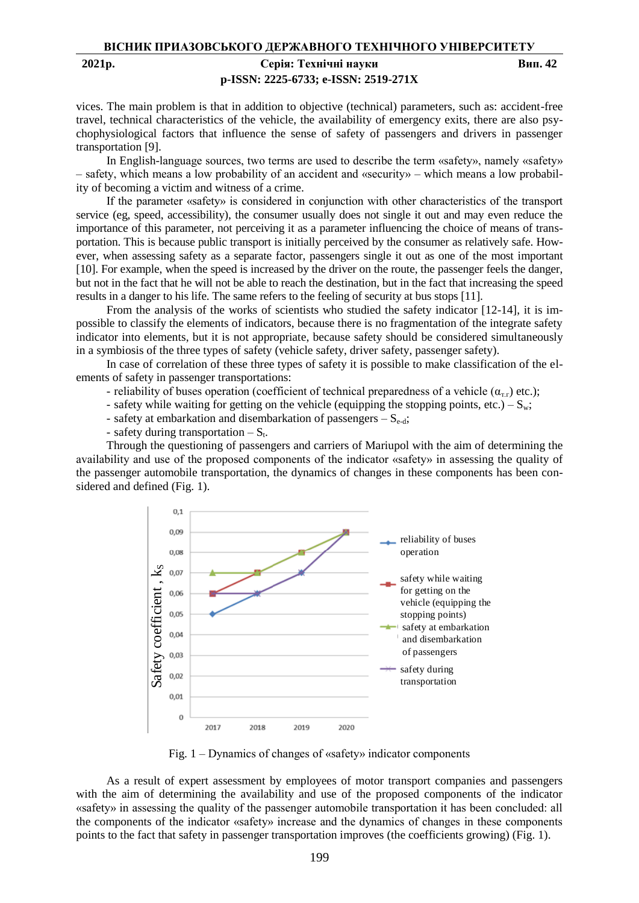# **p-ISSN: 2225-6733; e-ISSN: 2519-271X**

**2021р. Серія: Технічні науки Вип. 42**

vices. The main problem is that in addition to objective (technical) parameters, such as: accident-free travel, technical characteristics of the vehicle, the availability of emergency exits, there are also psychophysiological factors that influence the sense of safety of passengers and drivers in passenger transportation [9].

In English-language sources, two terms are used to describe the term «safety», namely «safety» – safety, which means a low probability of an accident and «security» – which means a low probability of becoming a victim and witness of a crime.

If the parameter «safety» is considered in conjunction with other characteristics of the transport service (eg, speed, accessibility), the consumer usually does not single it out and may even reduce the importance of this parameter, not perceiving it as a parameter influencing the choice of means of transportation. This is because public transport is initially perceived by the consumer as relatively safe. However, when assessing safety as a separate factor, passengers single it out as one of the most important [10]. For example, when the speed is increased by the driver on the route, the passenger feels the danger, but not in the fact that he will not be able to reach the destination, but in the fact that increasing the speed results in a danger to his life. The same refers to the feeling of security at bus stops [11].

From the analysis of the works of scientists who studied the safety indicator [12-14], it is impossible to classify the elements of indicators, because there is no fragmentation of the integrate safety indicator into elements, but it is not appropriate, because safety should be considered simultaneously in a symbiosis of the three types of safety (vehicle safety, driver safety, passenger safety).

In case of correlation of these three types of safety it is possible to make classification of the elements of safety in passenger transportations:

- reliability of buses operation (coefficient of technical preparedness of a vehicle  $(\alpha_{rr})$  etc.);
- safety while waiting for getting on the vehicle (equipping the stopping points, etc.)  $S_w$ ;
- safety at embarkation and disembarkation of passengers  $-S_{e-d}$ ;
- safety during transportation  $-S_t$ .

Through the questioning of passengers and carriers of Mariupol with the aim of determining the availability and use of the proposed components of the indicator «safety» in assessing the quality of the passenger automobile transportation, the dynamics of changes in these components has been considered and defined (Fig. 1).



Fig. 1 – Dynamics of changes of «safety» indicator components

As a result of expert assessment by employees of motor transport companies and passengers with the aim of determining the availability and use of the proposed components of the indicator «safety» in assessing the quality of the passenger automobile transportation it has been concluded: all the components of the indicator «safety» increase and the dynamics of changes in these components points to the fact that safety in passenger transportation improves (the coefficients growing) (Fig. 1).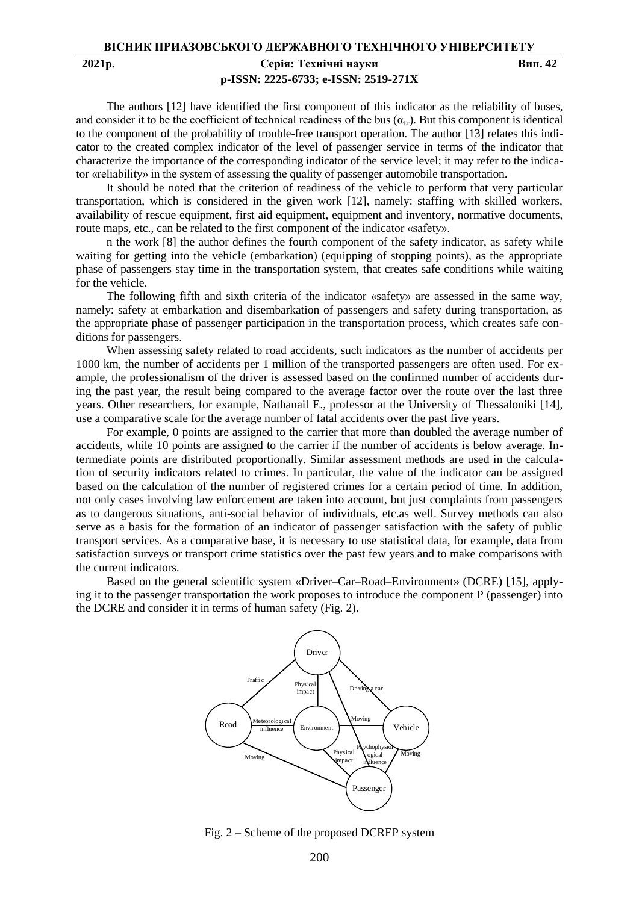## **2021р. Серія: Технічні науки Вип. 42 p-ISSN: 2225-6733; e-ISSN: 2519-271X**

The authors [12] have identified the first component of this indicator as the reliability of buses, and consider it to be the coefficient of technical readiness of the bus  $(\alpha_{\rm tr})$ . But this component is identical to the component of the probability of trouble-free transport operation. The author [13] relates this indicator to the created complex indicator of the level of passenger service in terms of the indicator that characterize the importance of the corresponding indicator of the service level; it may refer to the indicator «reliability» in the system of assessing the quality of passenger automobile transportation.

It should be noted that the criterion of readiness of the vehicle to perform that very particular transportation, which is considered in the given work [12], namely: staffing with skilled workers, availability of rescue equipment, first aid equipment, equipment and inventory, normative documents, route maps, etc., can be related to the first component of the indicator «safety».

n the work [8] the author defines the fourth component of the safety indicator, as safety while waiting for getting into the vehicle (embarkation) (equipping of stopping points), as the appropriate phase of passengers stay time in the transportation system, that creates safe conditions while waiting for the vehicle.

The following fifth and sixth criteria of the indicator «safety» are assessed in the same way, namely: safety at embarkation and disembarkation of passengers and safety during transportation, as the appropriate phase of passenger participation in the transportation process, which creates safe conditions for passengers.

When assessing safety related to road accidents, such indicators as the number of accidents per 1000 km, the number of accidents per 1 million of the transported passengers are often used. For example, the professionalism of the driver is assessed based on the confirmed number of accidents during the past year, the result being compared to the average factor over the route over the last three years. Other researchers, for example, Nathanail E., professor at the University of Thessaloniki [14], use a comparative scale for the average number of fatal accidents over the past five years.

For example, 0 points are assigned to the carrier that more than doubled the average number of accidents, while 10 points are assigned to the carrier if the number of accidents is below average. Intermediate points are distributed proportionally. Similar assessment methods are used in the calculation of security indicators related to crimes. In particular, the value of the indicator can be assigned based on the calculation of the number of registered crimes for a certain period of time. In addition, not only cases involving law enforcement are taken into account, but just complaints from passengers as to dangerous situations, anti-social behavior of individuals, etc.as well. Survey methods can also serve as a basis for the formation of an indicator of passenger satisfaction with the safety of public transport services. As a comparative base, it is necessary to use statistical data, for example, data from satisfaction surveys or transport crime statistics over the past few years and to make comparisons with the current indicators.

Based on the general scientific system «Driver–Car–Road–Environment» (DCRE) [15], applying it to the passenger transportation the work proposes to introduce the component P (passenger) into the DCRE and consider it in terms of human safety (Fig. 2).



Fig. 2 – Scheme of the proposed DCREP system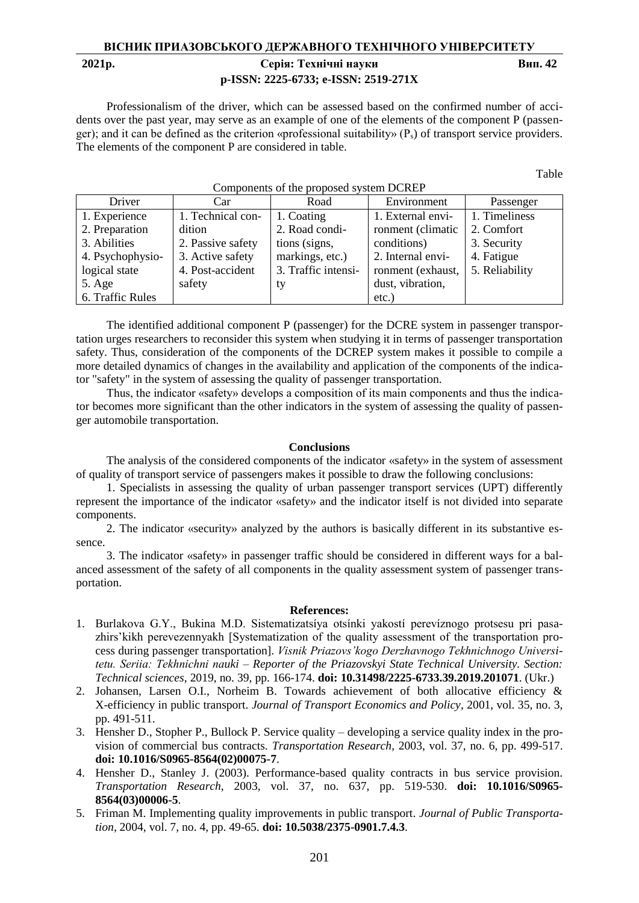# **ВІСНИК ПРИАЗОВСЬКОГО ДЕРЖАВНОГО ТЕХНІЧНОГО УНІВЕРСИТЕТУ 2021р. Серія: Технічні науки Вип. 42 p-ISSN: 2225-6733; e-ISSN: 2519-271X**

Professionalism of the driver, which can be assessed based on the confirmed number of accidents over the past year, may serve as an example of one of the elements of the component P (passenger); and it can be defined as the criterion «professional suitability»  $(P_s)$  of transport service providers. The elements of the component P are considered in table.

Components of the proposed system DCREP

Table

| Driver           | Car               | Components of the proposed system DCKER<br>Road | Environment       | Passenger      |
|------------------|-------------------|-------------------------------------------------|-------------------|----------------|
| 1. Experience    | 1. Technical con- | 1. Coating                                      | 1. External envi- | 1. Timeliness  |
| 2. Preparation   | dition            | 2. Road condi-                                  | ronment (climatic | 2. Comfort     |
| 3. Abilities     | 2. Passive safety | tions (signs,                                   | conditions)       | 3. Security    |
| 4. Psychophysio- | 3. Active safety  | markings, etc.)                                 | 2. Internal envi- | 4. Fatigue     |
| logical state    | 4. Post-accident  | 3. Traffic intensi-                             | ronment (exhaust, | 5. Reliability |
| 5. Age           | safety            | ty                                              | dust, vibration,  |                |
| 6. Traffic Rules |                   |                                                 | etc.)             |                |

The identified additional component P (passenger) for the DCRE system in passenger transportation urges researchers to reconsider this system when studying it in terms of passenger transportation safety. Thus, consideration of the components of the DCREP system makes it possible to compile a more detailed dynamics of changes in the availability and application of the components of the indicator "safety" in the system of assessing the quality of passenger transportation.

Thus, the indicator «safety» develops a composition of its main components and thus the indicator becomes more significant than the other indicators in the system of assessing the quality of passenger automobile transportation.

#### **Conclusions**

The analysis of the considered components of the indicator «safety» in the system of assessment of quality of transport service of passengers makes it possible to draw the following conclusions:

1. Specialists in assessing the quality of urban passenger transport services (UPT) differently represent the importance of the indicator «safety» and the indicator itself is not divided into separate components.

2. The indicator «security» analyzed by the authors is basically different in its substantive essence.

3. The indicator «safety» in passenger traffic should be considered in different ways for a balanced assessment of the safety of all components in the quality assessment system of passenger transportation.

#### **References:**

- 1. Burlakova G.Y., Bukina M.D. Sistematizatsíya otsínki yakostí perevíznogo protsesu pri pasazhirs'kikh perevezennyakh [Systematization of the quality assessment of the transportation process during passenger transportation]. *Vіsnik Priazovs'kogo Derzhavnogo Tekhnіchnogo Unіversitetu. Serіia: Tekhnіchnі nauki – Reporter of the Priazovskyi State Technical University. Section: Technical sciences*, 2019, no. 39, pp. 166-174. **doi: 10.31498/2225-6733.39.2019.201071**. (Ukr.)
- 2. Johansen, Larsen O.I., Norheim B. Towards achievement of both allocative efficiency & X-efficiency in public transport. *Journal of Transport Economics and Policy*, 2001, vol. 35, no. 3, pp. 491-511.
- 3. Hensher D., Stopher P., Bullock P. Service quality developing a service quality index in the provision of commercial bus contracts. *Transportation Research*, 2003, vol. 37, no. 6, pp. 499-517. **doi: 10.1016/S0965-8564(02)00075-7**.
- 4. Hensher D., Stanley J. (2003). Performance-based quality contracts in bus service provision. *Transportation Research*, 2003, vol. 37, no. 637, pp. 519-530. **doi: 10.1016/S0965- 8564(03)00006-5**.
- 5. Friman M. Implementing quality improvements in public transport. *Journal of Public Transportation*, 2004, vol. 7, no. 4, pp. 49-65. **doi: 10.5038/2375-0901.7.4.3**.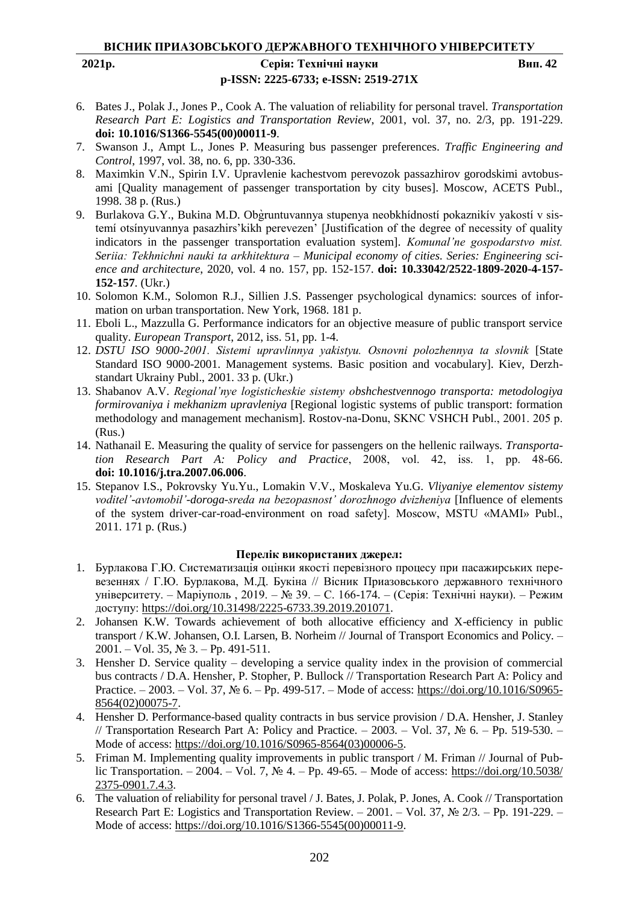# **p-ISSN: 2225-6733; e-ISSN: 2519-271X**

**2021р. Серія: Технічні науки Вип. 42**

- 6. Bates J., Polak J., Jones P., Cook A. The valuation of reliability for personal travel. *Transportation Research Part E: Logistics and Transportation Review*, 2001, vol. 37, no. 2/3, pp. 191-229. **doi: 10.1016/S1366-5545(00)00011-9**.
- 7. Swanson J., Ampt L., Jones P. Measuring bus passenger preferences. *Traffic Engineering and Control*, 1997, vol. 38, no. 6, pp. 330-336.
- 8. Maximkin V.N., Spirin I.V. Upravlenie kachestvom perevozok passazhirov gorodskimi avtobusami [Quality management of passenger transportation by city buses]. Moscow, ACETS Publ., 1998. 38 p. (Rus.)
- 9. Burlakova G.Y., Bukina M.D. Obgruntuvannya stupenya neobkhídností pokaznikív yakostí v sistemí otsínyuvannya pasazhirs'kikh perevezen' [Justification of the degree of necessity of quality indicators in the passenger transportation evaluation system]. *Komunal'ne gospodarstvo mіst. Serіia: Tekhnіchnі nauki ta arkhіtektura – Municipal economy of cities. Series: Engineering science and architecture*, 2020, vol. 4 no. 157, pp. 152-157. **doi: 10.33042/2522-1809-2020-4-157- 152-157**. (Ukr.)
- 10. Solomon K.M., Solomon R.J., Sillien J.S. Passenger psychological dynamics: sources of information on urban transportation. New York, 1968. 181 p.
- 11. Eboli L., Mazzulla G. Performance indicators for an objective measure of public transport service quality. *European Transport*, 2012, iss. 51, pp. 1-4.
- 12. *DSTU ISO 9000-2001. Sistemi upravlіnnya yakіstyu. Osnovnі polozhennya ta slovnik* [State Standard ISO 9000-2001. Management systems. Basic position and vocabulary]. Kiev, Derzhstandart Ukrainy Publ., 2001. 33 p. (Ukr.)
- 13. Shabanov A.V. *Regional'nye logisticheskie sistemy obshchestvennogo transporta: metodologiya formirovaniya i mekhanizm upravleniya* [Regional logistic systems of public transport: formation methodology and management mechanism]. Rostov-na-Donu, SKNC VSHCH Publ., 2001. 205 p. (Rus.)
- 14. Nathanail E. Measuring the quality of service for passengers on the hellenic railways. *Transportation Research Part A: Policy and Practice*, 2008, vol. 42, iss. 1, pр. 48-66. **doi: 10.1016/j.tra.2007.06.006**.
- 15. Stepanov I.S., Pokrovsky Yu.Yu., Lomakin V.V., Moskaleva Yu.G. *Vliyaniye elementov sistemy voditel'-avtomobil'-doroga-sreda na bezopasnost' dorozhnogo dvizheniya* [Influence of elements of the system driver-car-road-environment on road safety]. Moscow, MSTU «MAMI» Publ., 2011. 171 p. (Rus.)

#### **Перелік використаних джерел:**

- 1. Бурлакова Г.Ю. Систематизація оцінки якості перевізного процесу при пасажирських перевезеннях / Г.Ю. Бурлакова, М.Д. Букіна // Вісник Приазовського державного технічного університету. – Маріуполь , 2019. – № 39. – С. 166-174. – (Серія: Технічні науки). – Режим доступу: https://doi.org/10.31498/2225-6733.39.2019.201071.
- 2. Johansen K.W. Towards achievement of both allocative efficiency and X-efficiency in public transport / K.W. Johansen, O.I. Larsen, B. Norheim // Journal of Transport Economics and Policy. – 2001. – Vol. 35, № 3. – Pp. 491-511.
- 3. Hensher D. Service quality developing a service quality index in the provision of commercial bus contracts / D.A. Hensher, P. Stopher, P. Bullock // Transportation Research Part A: Policy and Practice. – 2003. – Vol. 37, № 6. – Pp. 499-517. – Mode of access: https://doi.org/10.1016/S0965- 8564(02)00075-7.
- 4. Hensher D. Performance-based quality contracts in bus service provision / D.A. Hensher, J. Stanley // Transportation Research Part A: Policy and Practice. – 2003. – Vol. 37, № 6. – Pp. 519-530. – Mode of access: https://doi.org/10.1016/S0965-8564(03)00006-5.
- 5. Friman M. Implementing quality improvements in public transport / M. Friman // Journal of Public Transportation. – 2004. – Vol. 7, № 4. – Pp. 49-65. – Mode of access: https://doi.org/10.5038/ 2375-0901.7.4.3.
- 6. The valuation of reliability for personal travel / J. Bates, J. Polak, P. Jones, A. Cook // Transportation Research Part E: Logistics and Transportation Review. – 2001. – Vol. 37, № 2/3. – Pp. 191-229. – Mode of access: https://doi.org/10.1016/S1366-5545(00)00011-9.